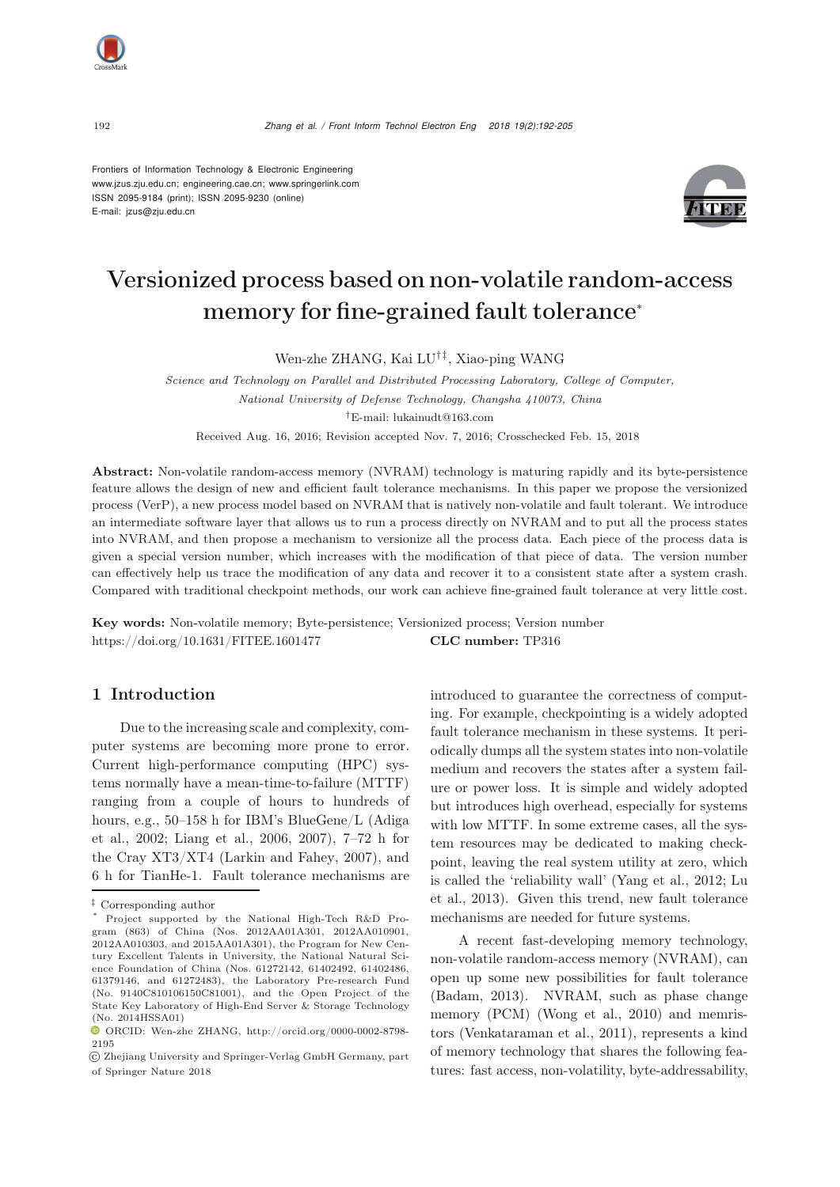

<sup>192</sup> *Zhang et al. / Front Inform Technol Electron Eng 2018 19(2):192-205*

Frontiers of Information Technology & Electronic Engineering [www.jzus.zju.edu.cn;](www.jzus.zju.edu.cn) [engineering.cae.cn;](engineering.cae.cn)<www.springerlink.com> ISSN 2095-9184 (print); ISSN 2095-9230 (online) E-mail: jzus@zju.edu.cn



# Versionized process based on non-volatile random-access memory for fine-grained fault tolerance<sup>∗</sup>

Wen-zhe ZHANG, Kai LU*†‡*, Xiao-ping WANG

*Science and Technology on Parallel and Distributed Processing Laboratory, College of Computer, National University of Defense Technology, Changsha 410073, China †*E-mail: lukainudt@163.com

Received Aug. 16, 2016; Revision accepted Nov. 7, 2016; Crosschecked Feb. 15, 2018

Abstract: Non-volatile random-access memory (NVRAM) technology is maturing rapidly and its byte-persistence feature allows the design of new and efficient fault tolerance mechanisms. In this paper we propose the versionized process (VerP), a new process model based on NVRAM that is natively non-volatile and fault tolerant. We introduce an intermediate software layer that allows us to run a process directly on NVRAM and to put all the process states into NVRAM, and then propose a mechanism to versionize all the process data. Each piece of the process data is given a special version number, which increases with the modification of that piece of data. The version number can effectively help us trace the modification of any data and recover it to a consistent state after a system crash. Compared with traditional checkpoint methods, our work can achieve fine-grained fault tolerance at very little cost.

Key words: Non-volatile memory; Byte-persistence; Versionized process; Version number https://doi.org/10.1631/FITEE.1601477 CLC number: TP316

## 1 Introduction

Due to the increasing scale and complexity, computer systems are becoming more prone to error. Current high-performance computing (HPC) systems normally have a mean-time-to-failure (MTTF) ranging from a couple of hours to hundreds of hour[s,](#page-12-0) [e.g.,](#page-12-0) [50–158](#page-12-0) [h](#page-12-0) [for](#page-12-0) [IBM's](#page-12-0) [BlueGene/L](#page-12-0) [\(](#page-12-0)Adiga et al., [2002](#page-12-0); [Liang et al., 2006](#page-12-1), [2007\)](#page-12-2), 7–72 h for the Cray XT3/XT4 [\(Larkin and Fahey](#page-12-3), [2007\)](#page-12-3), and 6 h for TianHe-1. Fault tolerance mechanisms are introduced to guarantee the correctness of computing. For example, checkpointing is a widely adopted fault tolerance mechanism in these systems. It periodically dumps all the system states into non-volatile medium and recovers the states after a system failure or power loss. It is simple and widely adopted but introduces high overhead, especially for systems with low MTTF. In some extreme cases, all the system resources may be dedicated to making checkpoint, leaving the real system utility at zero, which is cal[led](#page-12-4) [the](#page-12-4) ['reliability](#page-12-4) [wall'](#page-12-4) [\(Yang et al., 2012](#page-13-0)[;](#page-12-4) Lu et al., [2013](#page-12-4)). Given this trend, new fault tolerance mechanisms are needed for future systems.

A recent fast-developing memory technology, non-volatile random-access memory (NVRAM), can open up some new possibilities for fault tolerance [\(Badam, 2013](#page-12-5)). NVRAM, such as phase change memory (PCM) [\(Wong et al.](#page-13-1), [2010\)](#page-13-1) and memristors [\(Venkataraman et al.](#page-13-2), [2011\)](#page-13-2), represents a kind of memory technology that shares the following features: fast access, non-volatility, byte-addressability,

*<sup>‡</sup>* Corresponding author

Project supported by the National High-Tech R&D Program (863) of China (Nos. 2012AA01A301, 2012AA010901, 2012AA010303, and 2015AA01A301), the Program for New Century Excellent Talents in University, the National Natural Science Foundation of China (Nos. 61272142, 61402492, 61402486, 61379146, and 61272483), the Laboratory Pre-research Fund (No. 9140C810106150C81001), and the Open Project of the State Key Laboratory of High-End Server & Storage Technology (No. 2014HSSA01)

ORCID: Wen-zhe ZHANG, http://orcid.org/0000-0002-8798- 2195

c Zhejiang University and Springer-Verlag GmbH Germany, part of Springer Nature 2018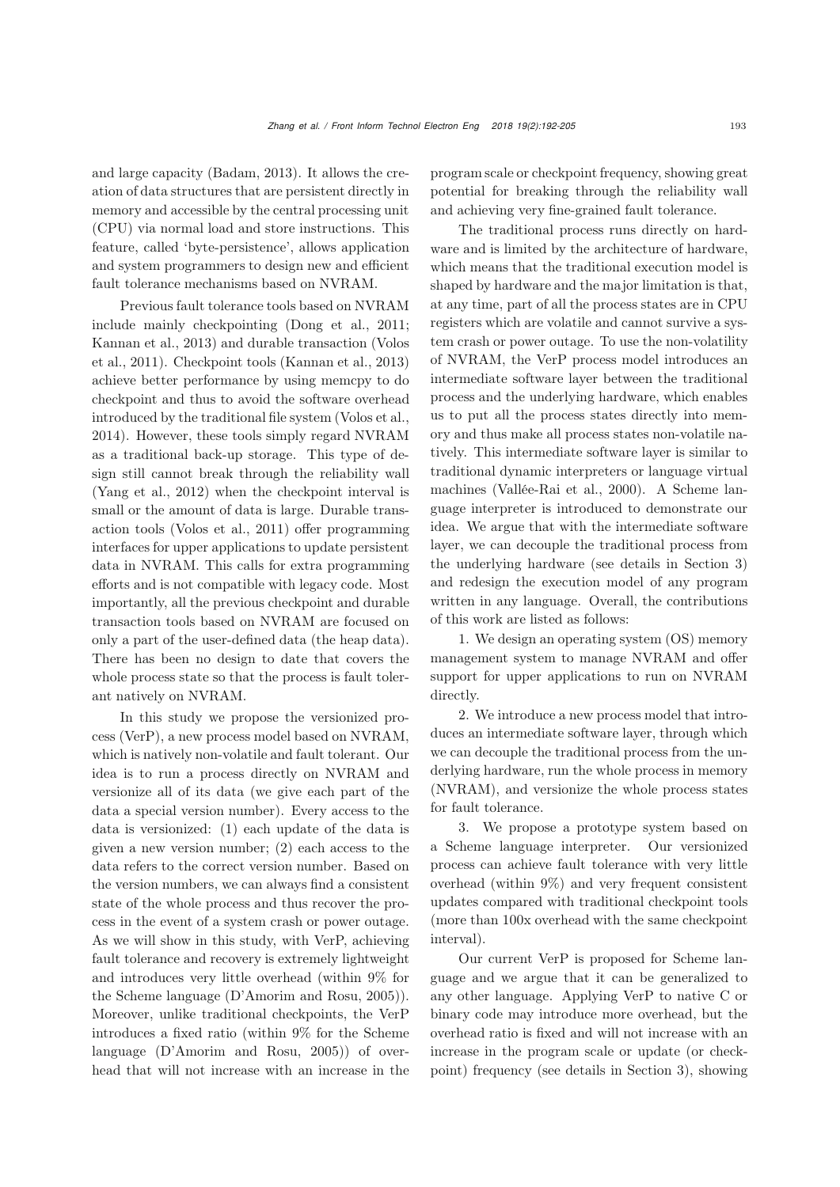and large capacity [\(Badam, 2013](#page-12-5)). It allows the creation of data structures that are persistent directly in memory and accessible by the central processing unit (CPU) via normal load and store instructions. This feature, called 'byte-persistence', allows application and system programmers to design new and efficient fault tolerance mechanisms based on NVRAM.

Previous fault tolerance tools based on NVRAM include mainly checkpointing [\(Dong et al.](#page-12-6), [2011;](#page-12-6) [Kannan et al.](#page-12-7)[,](#page-13-3) [2013](#page-12-7)[\)](#page-13-3) [and](#page-13-3) [durable](#page-13-3) [transaction](#page-13-3) [\(](#page-13-3)Volos et al., [2011](#page-13-3)). Checkpoint tools [\(Kannan et al., 2013\)](#page-12-7) achieve better performance by using memcpy to do checkpoint and thus to avoid the software overhead introduced by the traditional file system [\(Volos et al.](#page-13-4), [2014](#page-13-4)). However, these tools simply regard NVRAM as a traditional back-up storage. This type of design still cannot break through the reliability wall [\(Yang et al., 2012\)](#page-13-0) when the checkpoint interval is small or the amount of data is large. Durable transaction tools [\(Volos et al.](#page-13-3), [2011](#page-13-3)) offer programming interfaces for upper applications to update persistent data in NVRAM. This calls for extra programming efforts and is not compatible with legacy code. Most importantly, all the previous checkpoint and durable transaction tools based on NVRAM are focused on only a part of the user-defined data (the heap data). There has been no design to date that covers the whole process state so that the process is fault tolerant natively on NVRAM.

In this study we propose the versionized process (VerP), a new process model based on NVRAM, which is natively non-volatile and fault tolerant. Our idea is to run a process directly on NVRAM and versionize all of its data (we give each part of the data a special version number). Every access to the data is versionized: (1) each update of the data is given a new version number; (2) each access to the data refers to the correct version number. Based on the version numbers, we can always find a consistent state of the whole process and thus recover the process in the event of a system crash or power outage. As we will show in this study, with VerP, achieving fault tolerance and recovery is extremely lightweight and introduces very little overhead (within 9% for the Scheme language [\(D'Amorim and Rosu, 2005\)](#page-12-8)). Moreover, unlike traditional checkpoints, the VerP introduces a fixed ratio (within 9% for the Scheme language [\(D'Amorim and Rosu, 2005](#page-12-8))) of overhead that will not increase with an increase in the program scale or checkpoint frequency, showing great potential for breaking through the reliability wall and achieving very fine-grained fault tolerance.

The traditional process runs directly on hardware and is limited by the architecture of hardware, which means that the traditional execution model is shaped by hardware and the major limitation is that, at any time, part of all the process states are in CPU registers which are volatile and cannot survive a system crash or power outage. To use the non-volatility of NVRAM, the VerP process model introduces an intermediate software layer between the traditional process and the underlying hardware, which enables us to put all the process states directly into memory and thus make all process states non-volatile natively. This intermediate software layer is similar to traditional dynamic interpreters or language virtual machines [\(Vallée-Rai et al.](#page-13-5), [2000](#page-13-5)). A Scheme language interpreter is introduced to demonstrate our idea. We argue that with the intermediate software layer, we can decouple the traditional process from the underlying hardware (see details in Section 3) and redesign the execution model of any program written in any language. Overall, the contributions of this work are listed as follows:

1. We design an operating system (OS) memory management system to manage NVRAM and offer support for upper applications to run on NVRAM directly.

2. We introduce a new process model that introduces an intermediate software layer, through which we can decouple the traditional process from the underlying hardware, run the whole process in memory (NVRAM), and versionize the whole process states for fault tolerance.

3. We propose a prototype system based on a Scheme language interpreter. Our versionized process can achieve fault tolerance with very little overhead (within 9%) and very frequent consistent updates compared with traditional checkpoint tools (more than 100x overhead with the same checkpoint interval).

Our current VerP is proposed for Scheme language and we argue that it can be generalized to any other language. Applying VerP to native C or binary code may introduce more overhead, but the overhead ratio is fixed and will not increase with an increase in the program scale or update (or checkpoint) frequency (see details in Section 3), showing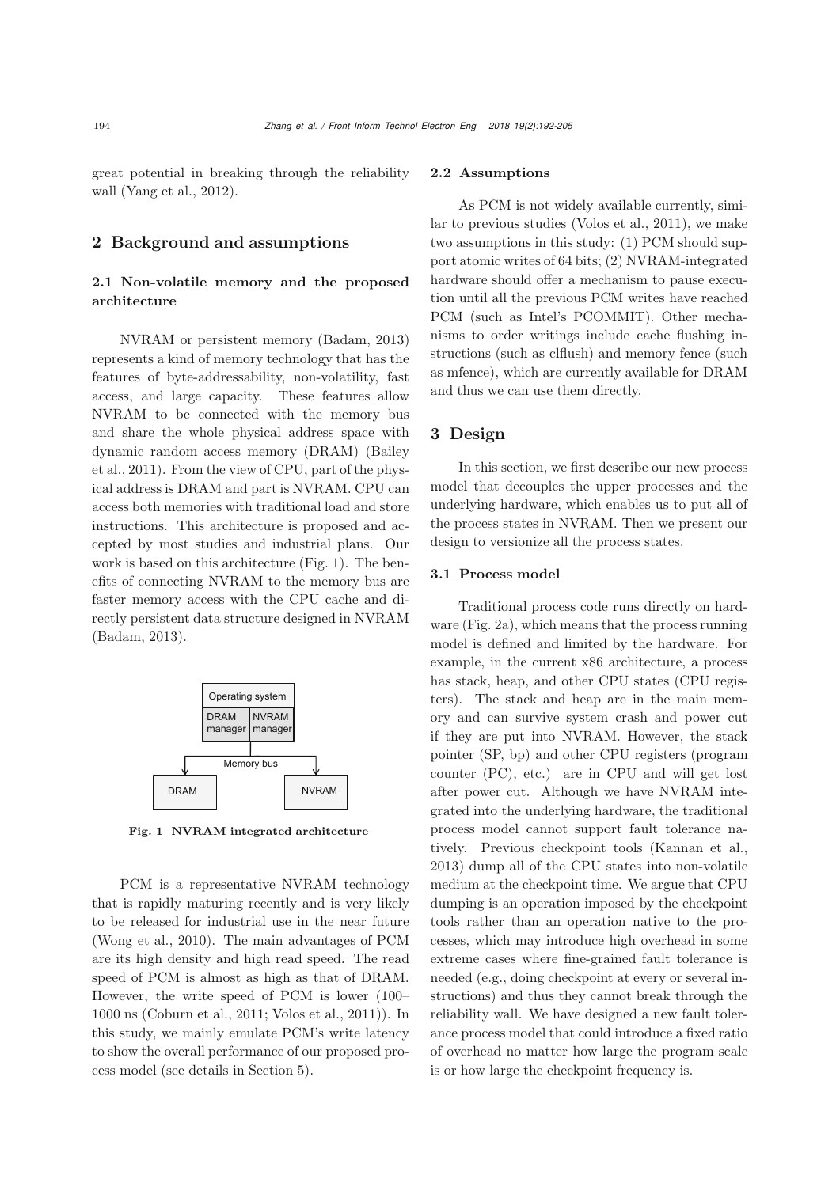great potential in breaking through the reliability wall [\(Yang et al.](#page-13-0), [2012](#page-13-0)).

## 2 Background and assumptions

## 2.1 Non-volatile memory and the proposed architecture

NVRAM or persistent memory [\(Badam, 2013\)](#page-12-5) represents a kind of memory technology that has the features of byte-addressability, non-volatility, fast access, and large capacity. These features allow NVRAM to be connected with the memory bus and share the whole physical address space with dyn[amic](#page-12-9) [random](#page-12-9) [access](#page-12-9) [memory](#page-12-9) [\(DRAM\)](#page-12-9) [\(](#page-12-9)Bailey et al., [2011](#page-12-9)). From the view of CPU, part of the physical address is DRAM and part is NVRAM. CPU can access both memories with traditional load and store instructions. This architecture is proposed and accepted by most studies and industrial plans. Our work is based on this architecture (Fig. [1\)](#page-2-0). The benefits of connecting NVRAM to the memory bus are faster memory access with the CPU cache and directly persistent data structure designed in NVRAM [\(Badam, 2013\)](#page-12-5).



<span id="page-2-0"></span>Fig. 1 NVRAM integrated architecture

PCM is a representative NVRAM technology that is rapidly maturing recently and is very likely to be released for industrial use in the near future [\(Wong et al., 2010](#page-13-1)). The main advantages of PCM are its high density and high read speed. The read speed of PCM is almost as high as that of DRAM. However, the write speed of PCM is lower (100– 1000 ns [\(Coburn et al., 2011](#page-12-10); [Volos et al., 2011\)](#page-13-3)). In this study, we mainly emulate PCM's write latency to show the overall performance of our proposed process model (see details in Section 5).

#### 2.2 Assumptions

As PCM is not widely available currently, similar to previous studies [\(Volos et al.](#page-13-3), [2011](#page-13-3)), we make two assumptions in this study: (1) PCM should support atomic writes of 64 bits; (2) NVRAM-integrated hardware should offer a mechanism to pause execution until all the previous PCM writes have reached PCM (such as Intel's PCOMMIT). Other mechanisms to order writings include cache flushing instructions (such as clflush) and memory fence (such as mfence), which are currently available for DRAM and thus we can use them directly.

## 3 Design

In this section, we first describe our new process model that decouples the upper processes and the underlying hardware, which enables us to put all of the process states in NVRAM. Then we present our design to versionize all the process states.

## 3.1 Process model

Traditional process code runs directly on hardware (Fig. [2a](#page-3-0)), which means that the process running model is defined and limited by the hardware. For example, in the current x86 architecture, a process has stack, heap, and other CPU states (CPU registers). The stack and heap are in the main memory and can survive system crash and power cut if they are put into NVRAM. However, the stack pointer (SP, bp) and other CPU registers (program counter (PC), etc.) are in CPU and will get lost after power cut. Although we have NVRAM integrated into the underlying hardware, the traditional process model cannot support fault tolerance natively. Previous checkpoint tools [\(Kannan et al.](#page-12-7), [2013](#page-12-7)) dump all of the CPU states into non-volatile medium at the checkpoint time. We argue that CPU dumping is an operation imposed by the checkpoint tools rather than an operation native to the processes, which may introduce high overhead in some extreme cases where fine-grained fault tolerance is needed (e.g., doing checkpoint at every or several instructions) and thus they cannot break through the reliability wall. We have designed a new fault tolerance process model that could introduce a fixed ratio of overhead no matter how large the program scale is or how large the checkpoint frequency is.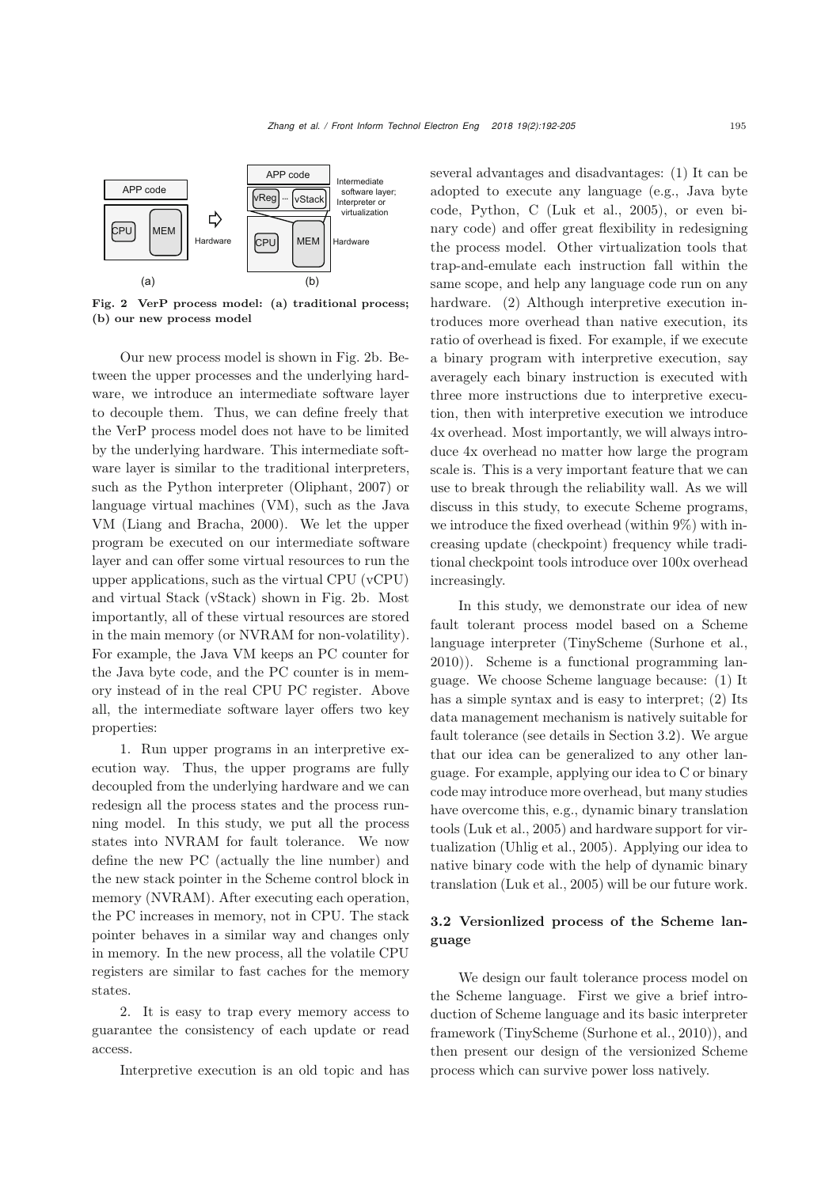

<span id="page-3-0"></span>Fig. 2 VerP process model: (a) traditional process; (b) our new process model

Our new process model is shown in Fig. [2b](#page-3-0). Between the upper processes and the underlying hardware, we introduce an intermediate software layer to decouple them. Thus, we can define freely that the VerP process model does not have to be limited by the underlying hardware. This intermediate software layer is similar to the traditional interpreters, such as the Python interpreter [\(Oliphant](#page-13-6), [2007\)](#page-13-6) or language virtual machines (VM), such as the Java VM [\(Liang and Bracha, 2000\)](#page-12-11). We let the upper program be executed on our intermediate software layer and can offer some virtual resources to run the upper applications, such as the virtual CPU (vCPU) and virtual Stack (vStack) shown in Fig. [2b](#page-3-0). Most importantly, all of these virtual resources are stored in the main memory (or NVRAM for non-volatility). For example, the Java VM keeps an PC counter for the Java byte code, and the PC counter is in memory instead of in the real CPU PC register. Above all, the intermediate software layer offers two key properties:

1. Run upper programs in an interpretive execution way. Thus, the upper programs are fully decoupled from the underlying hardware and we can redesign all the process states and the process running model. In this study, we put all the process states into NVRAM for fault tolerance. We now define the new PC (actually the line number) and the new stack pointer in the Scheme control block in memory (NVRAM). After executing each operation, the PC increases in memory, not in CPU. The stack pointer behaves in a similar way and changes only in memory. In the new process, all the volatile CPU registers are similar to fast caches for the memory states.

2. It is easy to trap every memory access to guarantee the consistency of each update or read access.

Interpretive execution is an old topic and has

several advantages and disadvantages: (1) It can be adopted to execute any language (e.g., Java byte code, Python, C [\(Luk et al.](#page-13-7), [2005\)](#page-13-7), or even binary code) and offer great flexibility in redesigning the process model. Other virtualization tools that trap-and-emulate each instruction fall within the same scope, and help any language code run on any hardware. (2) Although interpretive execution introduces more overhead than native execution, its ratio of overhead is fixed. For example, if we execute a binary program with interpretive execution, say averagely each binary instruction is executed with three more instructions due to interpretive execution, then with interpretive execution we introduce 4x overhead. Most importantly, we will always introduce 4x overhead no matter how large the program scale is. This is a very important feature that we can use to break through the reliability wall. As we will discuss in this study, to execute Scheme programs, we introduce the fixed overhead (within 9%) with increasing update (checkpoint) frequency while traditional checkpoint tools introduce over 100x overhead increasingly.

In this study, we demonstrate our idea of new fault tolerant process model based on a Scheme language interpreter (TinyScheme [\(Surhone et al.](#page-13-8), [2010](#page-13-8))). Scheme is a functional programming language. We choose Scheme language because: (1) It has a simple syntax and is easy to interpret; (2) Its data management mechanism is natively suitable for fault tolerance (see details in Section 3.2). We argue that our idea can be generalized to any other language. For example, applying our idea to C or binary code may introduce more overhead, but many studies have overcome this, e.g., dynamic binary translation tools [\(Luk et al., 2005\)](#page-13-7) and hardware support for virtualization [\(Uhlig et al., 2005](#page-13-9)). Applying our idea to native binary code with the help of dynamic binary translation [\(Luk et al.](#page-13-7), [2005](#page-13-7)) will be our future work.

## 3.2 Versionlized process of the Scheme language

We design our fault tolerance process model on the Scheme language. First we give a brief introduction of Scheme language and its basic interpreter framework (TinyScheme [\(Surhone et al., 2010](#page-13-8))), and then present our design of the versionized Scheme process which can survive power loss natively.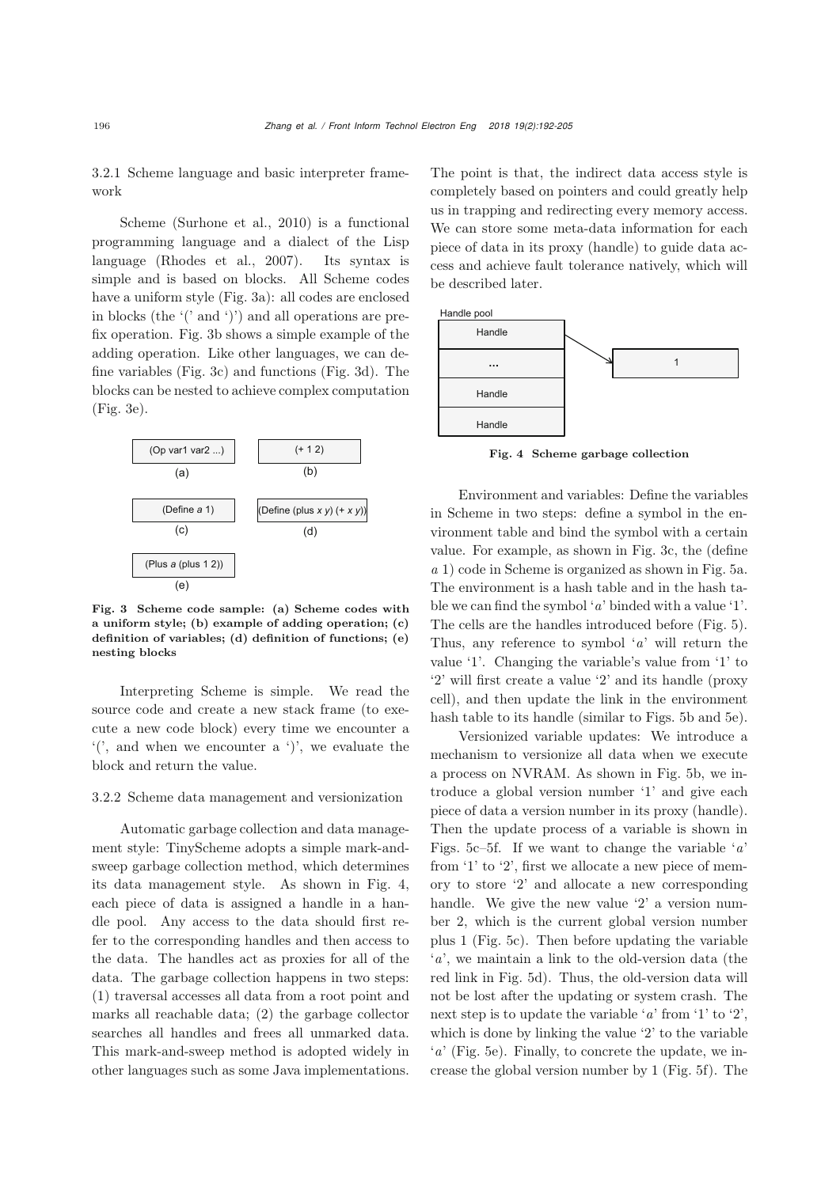3.2.1 Scheme language and basic interpreter framework

Scheme [\(Surhone et al., 2010](#page-13-8)) is a functional programming language and a dialect of the Lisp language [\(Rhodes et al.](#page-13-10), [2007](#page-13-10)). Its syntax is simple and is based on blocks. All Scheme codes have a uniform style (Fig. [3a](#page-4-0)): all codes are enclosed in blocks (the '(' and ')') and all operations are prefix operation. Fig. [3b](#page-4-0) shows a simple example of the adding operation. Like other languages, we can define variables (Fig. [3c](#page-4-0)) and functions (Fig. [3d](#page-4-0)). The blocks can be nested to achieve complex computation (Fig. [3e](#page-4-0)).



<span id="page-4-0"></span>Fig. 3 Scheme code sample: (a) Scheme codes with a uniform style; (b) example of adding operation; (c) definition of variables; (d) definition of functions; (e) nesting blocks

Interpreting Scheme is simple. We read the source code and create a new stack frame (to execute a new code block) every time we encounter a '(', and when we encounter a ')', we evaluate the block and return the value.

#### 3.2.2 Scheme data management and versionization

Automatic garbage collection and data management style: TinyScheme adopts a simple mark-andsweep garbage collection method, which determines its data management style. As shown in Fig. [4,](#page-4-1) each piece of data is assigned a handle in a handle pool. Any access to the data should first refer to the corresponding handles and then access to the data. The handles act as proxies for all of the data. The garbage collection happens in two steps: (1) traversal accesses all data from a root point and marks all reachable data; (2) the garbage collector searches all handles and frees all unmarked data. This mark-and-sweep method is adopted widely in other languages such as some Java implementations.

The point is that, the indirect data access style is completely based on pointers and could greatly help us in trapping and redirecting every memory access. We can store some meta-data information for each piece of data in its proxy (handle) to guide data access and achieve fault tolerance natively, which will be described later.



<span id="page-4-1"></span>Fig. 4 Scheme garbage collection

Environment and variables: Define the variables in Scheme in two steps: define a symbol in the environment table and bind the symbol with a certain value. For example, as shown in Fig. [3c](#page-4-0), the (define *a* 1) code in Scheme is organized as shown in Fig. [5a](#page-5-0). The environment is a hash table and in the hash table we can find the symbol '*a*' binded with a value '1'. The cells are the handles introduced before (Fig. [5\)](#page-5-0). Thus, any reference to symbol '*a*' will return the value '1'. Changing the variable's value from '1' to '2' will first create a value '2' and its handle (proxy cell), and then update the link in the environment hash table to its handle (similar to Figs. [5b](#page-5-0) and [5e](#page-5-0)).

Versionized variable updates: We introduce a mechanism to versionize all data when we execute a process on NVRAM. As shown in Fig. [5b](#page-5-0), we introduce a global version number '1' and give each piece of data a version number in its proxy (handle). Then the update process of a variable is shown in Figs. [5c–5f](#page-5-0). If we want to change the variable '*a*' from '1' to '2', first we allocate a new piece of memory to store '2' and allocate a new corresponding handle. We give the new value '2' a version number 2, which is the current global version number plus 1 (Fig. [5c](#page-5-0)). Then before updating the variable '*a*', we maintain a link to the old-version data (the red link in Fig. [5d](#page-5-0)). Thus, the old-version data will not be lost after the updating or system crash. The next step is to update the variable '*a*' from '1' to '2', which is done by linking the value '2' to the variable '*a*' (Fig. [5e](#page-5-0)). Finally, to concrete the update, we increase the global version number by 1 (Fig. [5f](#page-5-0)). The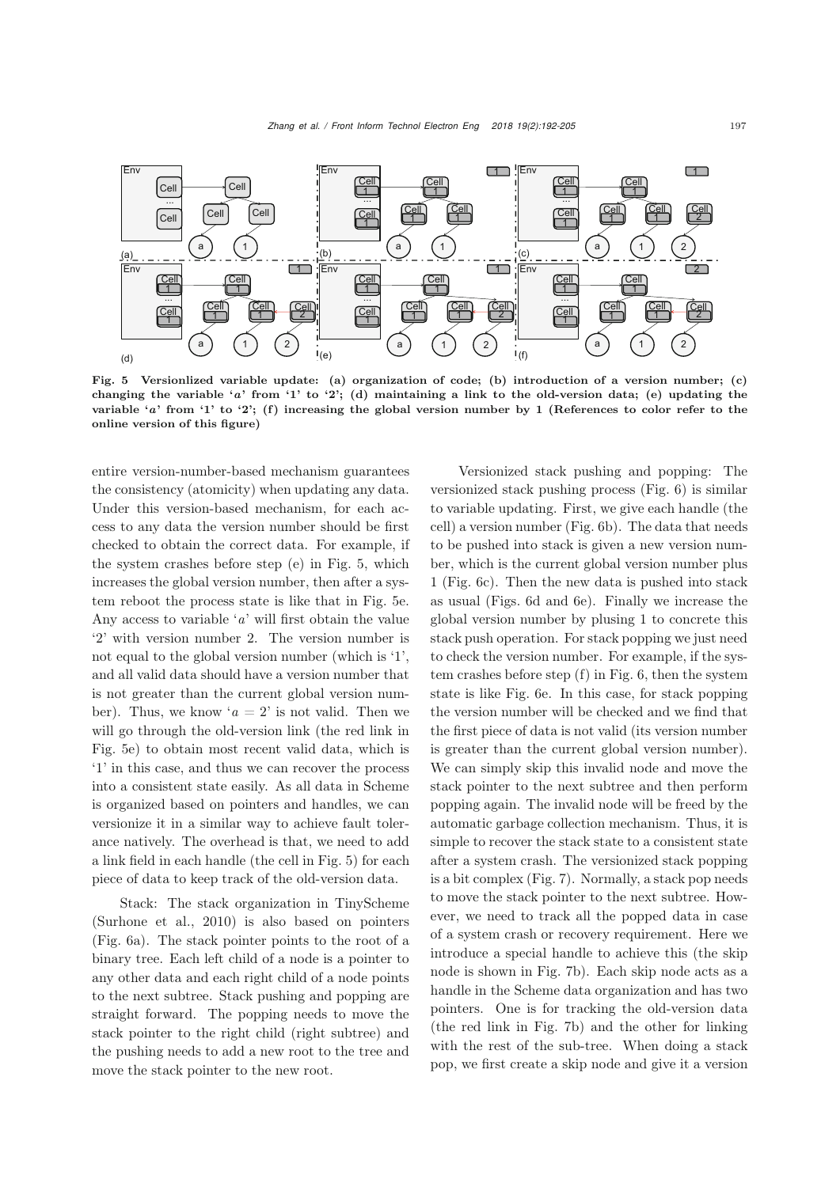

<span id="page-5-0"></span>Fig. 5 Versionlized variable update: (a) organization of code; (b) introduction of a version number; (c) changing the variable '*a*' from '1' to '2'; (d) maintaining a link to the old-version data; (e) updating the variable '*a*' from '1' to '2'; (f) increasing the global version number by 1 (References to color refer to the online version of this figure)

entire version-number-based mechanism guarantees the consistency (atomicity) when updating any data. Under this version-based mechanism, for each access to any data the version number should be first checked to obtain the correct data. For example, if the system crashes before step (e) in Fig. [5,](#page-5-0) which increases the global version number, then after a system reboot the process state is like that in Fig. [5e](#page-5-0). Any access to variable '*a*' will first obtain the value '2' with version number 2. The version number is not equal to the global version number (which is '1', and all valid data should have a version number that is not greater than the current global version number). Thus, we know ' $a = 2$ ' is not valid. Then we will go through the old-version link (the red link in Fig. [5e](#page-5-0)) to obtain most recent valid data, which is '1' in this case, and thus we can recover the process into a consistent state easily. As all data in Scheme is organized based on pointers and handles, we can versionize it in a similar way to achieve fault tolerance natively. The overhead is that, we need to add a link field in each handle (the cell in Fig. [5\)](#page-5-0) for each piece of data to keep track of the old-version data.

Stack: The stack organization in TinyScheme [\(Surhone et al.](#page-13-8), [2010\)](#page-13-8) is also based on pointers (Fig. [6a](#page-6-0)). The stack pointer points to the root of a binary tree. Each left child of a node is a pointer to any other data and each right child of a node points to the next subtree. Stack pushing and popping are straight forward. The popping needs to move the stack pointer to the right child (right subtree) and the pushing needs to add a new root to the tree and move the stack pointer to the new root.

Versionized stack pushing and popping: The versionized stack pushing process (Fig. [6\)](#page-6-0) is similar to variable updating. First, we give each handle (the cell) a version number (Fig. [6b](#page-6-0)). The data that needs to be pushed into stack is given a new version number, which is the current global version number plus 1 (Fig. [6c](#page-6-0)). Then the new data is pushed into stack as usual (Figs. [6d](#page-6-0) and [6e](#page-6-0)). Finally we increase the global version number by plusing 1 to concrete this stack push operation. For stack popping we just need to check the version number. For example, if the system crashes before step (f) in Fig. [6,](#page-6-0) then the system state is like Fig. [6e](#page-6-0). In this case, for stack popping the version number will be checked and we find that the first piece of data is not valid (its version number is greater than the current global version number). We can simply skip this invalid node and move the stack pointer to the next subtree and then perform popping again. The invalid node will be freed by the automatic garbage collection mechanism. Thus, it is simple to recover the stack state to a consistent state after a system crash. The versionized stack popping is a bit complex (Fig. [7\)](#page-6-1). Normally, a stack pop needs to move the stack pointer to the next subtree. However, we need to track all the popped data in case of a system crash or recovery requirement. Here we introduce a special handle to achieve this (the skip node is shown in Fig. [7b](#page-6-1)). Each skip node acts as a handle in the Scheme data organization and has two pointers. One is for tracking the old-version data (the red link in Fig. [7b](#page-6-1)) and the other for linking with the rest of the sub-tree. When doing a stack pop, we first create a skip node and give it a version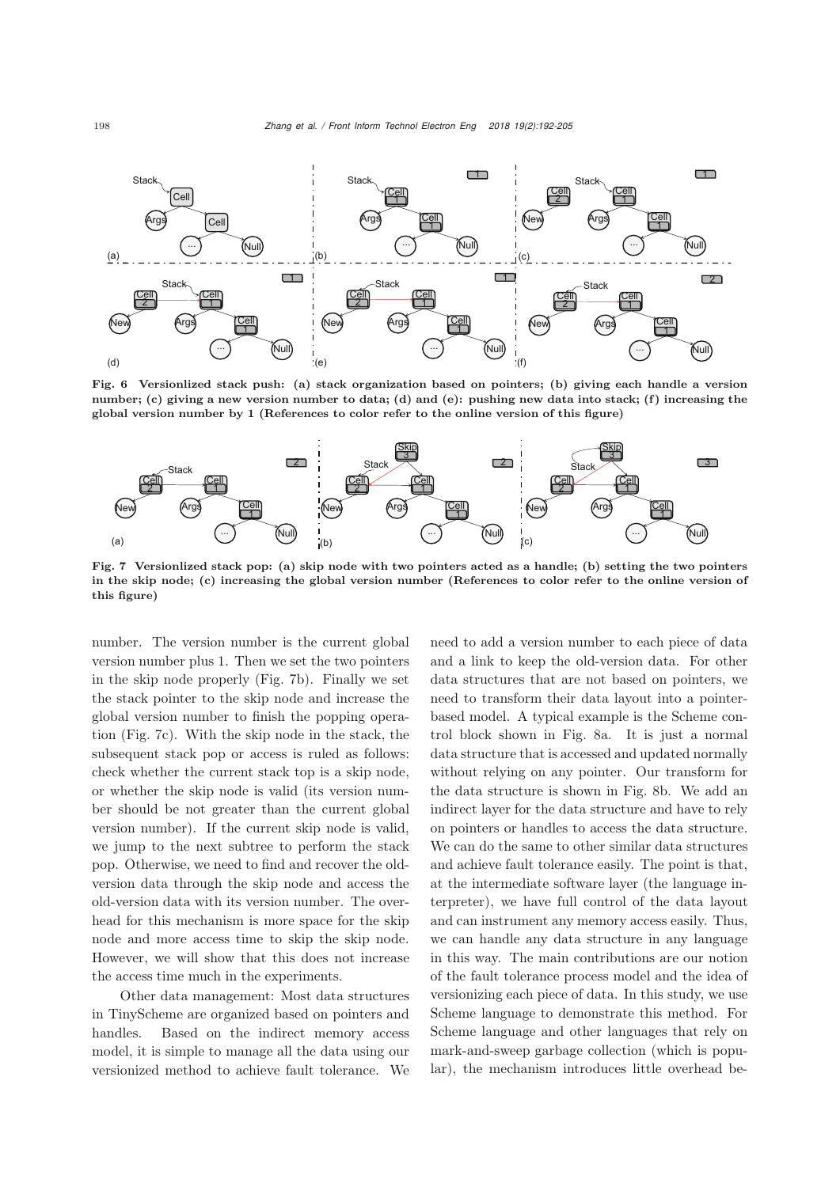

<span id="page-6-0"></span>Fig. 6 Versionlized stack push: (a) stack organization based on pointers; (b) giving each handle a version number; (c) giving a new version number to data; (d) and (e): pushing new data into stack; (f) increasing the global version number by 1 (References to color refer to the online version of this figure)



<span id="page-6-1"></span>Fig. 7 Versionlized stack pop: (a) skip node with two pointers acted as a handle; (b) setting the two pointers in the skip node; (c) increasing the global version number (References to color refer to the online version of this figure)

number. The version number is the current global version number plus 1. Then we set the two pointers in the skip node properly (Fig. [7b](#page-6-1)). Finally we set the stack pointer to the skip node and increase the global version number to finish the popping operation (Fig. [7c](#page-6-1)). With the skip node in the stack, the subsequent stack pop or access is ruled as follows: check whether the current stack top is a skip node, or whether the skip node is valid (its version number should be not greater than the current global version number). If the current skip node is valid, we jump to the next subtree to perform the stack pop. Otherwise, we need to find and recover the oldversion data through the skip node and access the old-version data with its version number. The overhead for this mechanism is more space for the skip node and more access time to skip the skip node. However, we will show that this does not increase the access time much in the experiments.

Other data management: Most data structures in TinyScheme are organized based on pointers and handles. Based on the indirect memory access model, it is simple to manage all the data using our versionized method to achieve fault tolerance. We need to add a version number to each piece of data and a link to keep the old-version data. For other data structures that are not based on pointers, we need to transform their data layout into a pointerbased model. A typical example is the Scheme control block shown in Fig. [8a](#page-7-0). It is just a normal data structure that is accessed and updated normally without relying on any pointer. Our transform for the data structure is shown in Fig. [8b](#page-7-0). We add an indirect layer for the data structure and have to rely on pointers or handles to access the data structure. We can do the same to other similar data structures and achieve fault tolerance easily. The point is that, at the intermediate software layer (the language interpreter), we have full control of the data layout and can instrument any memory access easily. Thus, we can handle any data structure in any language in this way. The main contributions are our notion of the fault tolerance process model and the idea of versionizing each piece of data. In this study, we use Scheme language to demonstrate this method. For Scheme language and other languages that rely on mark-and-sweep garbage collection (which is popular), the mechanism introduces little overhead be-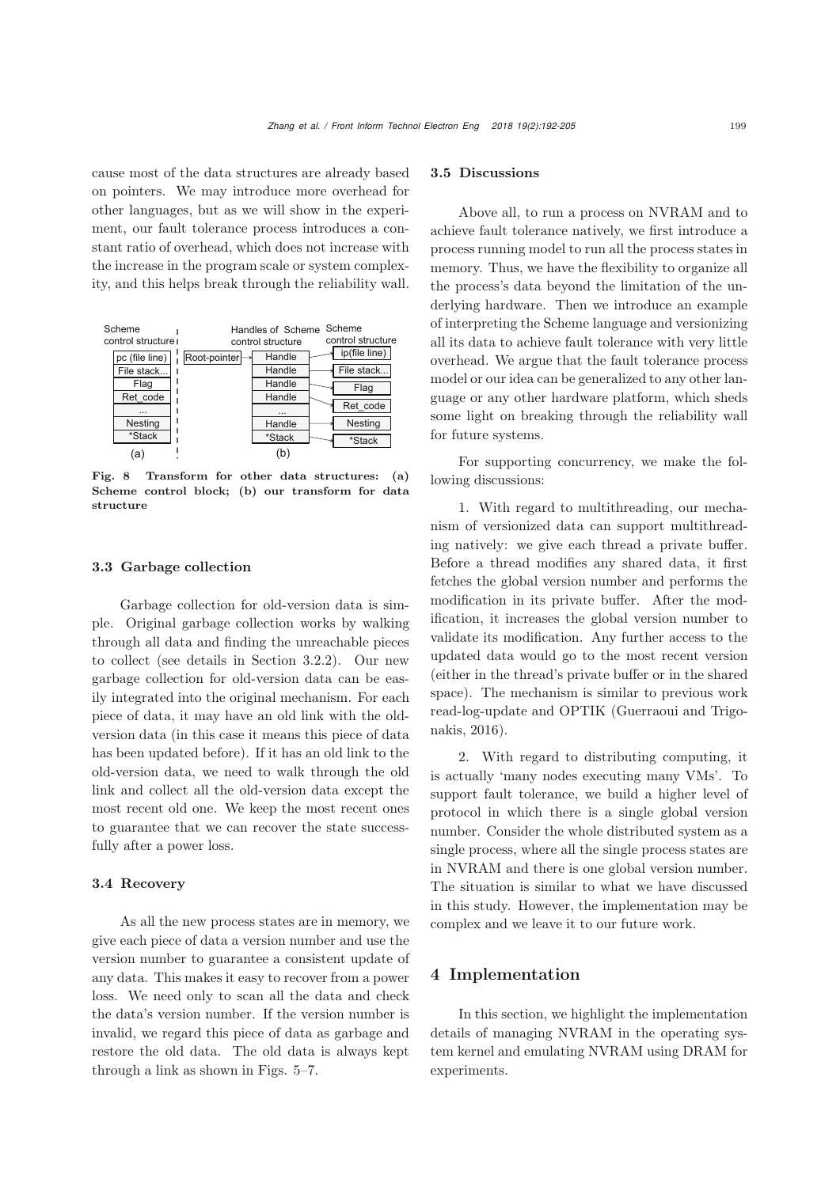cause most of the data structures are already based on pointers. We may introduce more overhead for other languages, but as we will show in the experiment, our fault tolerance process introduces a constant ratio of overhead, which does not increase with the increase in the program scale or system complexity, and this helps break through the reliability wall.



<span id="page-7-0"></span>Fig. 8 Transform for other data structures: (a) Scheme control block; (b) our transform for data structure

### 3.3 Garbage collection

Garbage collection for old-version data is simple. Original garbage collection works by walking through all data and finding the unreachable pieces to collect (see details in Section 3.2.2). Our new garbage collection for old-version data can be easily integrated into the original mechanism. For each piece of data, it may have an old link with the oldversion data (in this case it means this piece of data has been updated before). If it has an old link to the old-version data, we need to walk through the old link and collect all the old-version data except the most recent old one. We keep the most recent ones to guarantee that we can recover the state successfully after a power loss.

#### 3.4 Recovery

As all the new process states are in memory, we give each piece of data a version number and use the version number to guarantee a consistent update of any data. This makes it easy to recover from a power loss. We need only to scan all the data and check the data's version number. If the version number is invalid, we regard this piece of data as garbage and restore the old data. The old data is always kept through a link as shown in Figs. 5–7.

#### 3.5 Discussions

Above all, to run a process on NVRAM and to achieve fault tolerance natively, we first introduce a process running model to run all the process states in memory. Thus, we have the flexibility to organize all the process's data beyond the limitation of the underlying hardware. Then we introduce an example of interpreting the Scheme language and versionizing all its data to achieve fault tolerance with very little overhead. We argue that the fault tolerance process model or our idea can be generalized to any other language or any other hardware platform, which sheds some light on breaking through the reliability wall for future systems.

For supporting concurrency, we make the following discussions:

1. With regard to multithreading, our mechanism of versionized data can support multithreading natively: we give each thread a private buffer. Before a thread modifies any shared data, it first fetches the global version number and performs the modification in its private buffer. After the modification, it increases the global version number to validate its modification. Any further access to the updated data would go to the most recent version (either in the thread's private buffer or in the shared space). The mechanism is similar to previous work read-[log-update](#page-12-12) [and](#page-12-12) [OPTIK](#page-12-12) [\(](#page-12-12)Guerraoui and Trigonakis, [2016\)](#page-12-12).

2. With regard to distributing computing, it is actually 'many nodes executing many VMs'. To support fault tolerance, we build a higher level of protocol in which there is a single global version number. Consider the whole distributed system as a single process, where all the single process states are in NVRAM and there is one global version number. The situation is similar to what we have discussed in this study. However, the implementation may be complex and we leave it to our future work.

## 4 Implementation

In this section, we highlight the implementation details of managing NVRAM in the operating system kernel and emulating NVRAM using DRAM for experiments.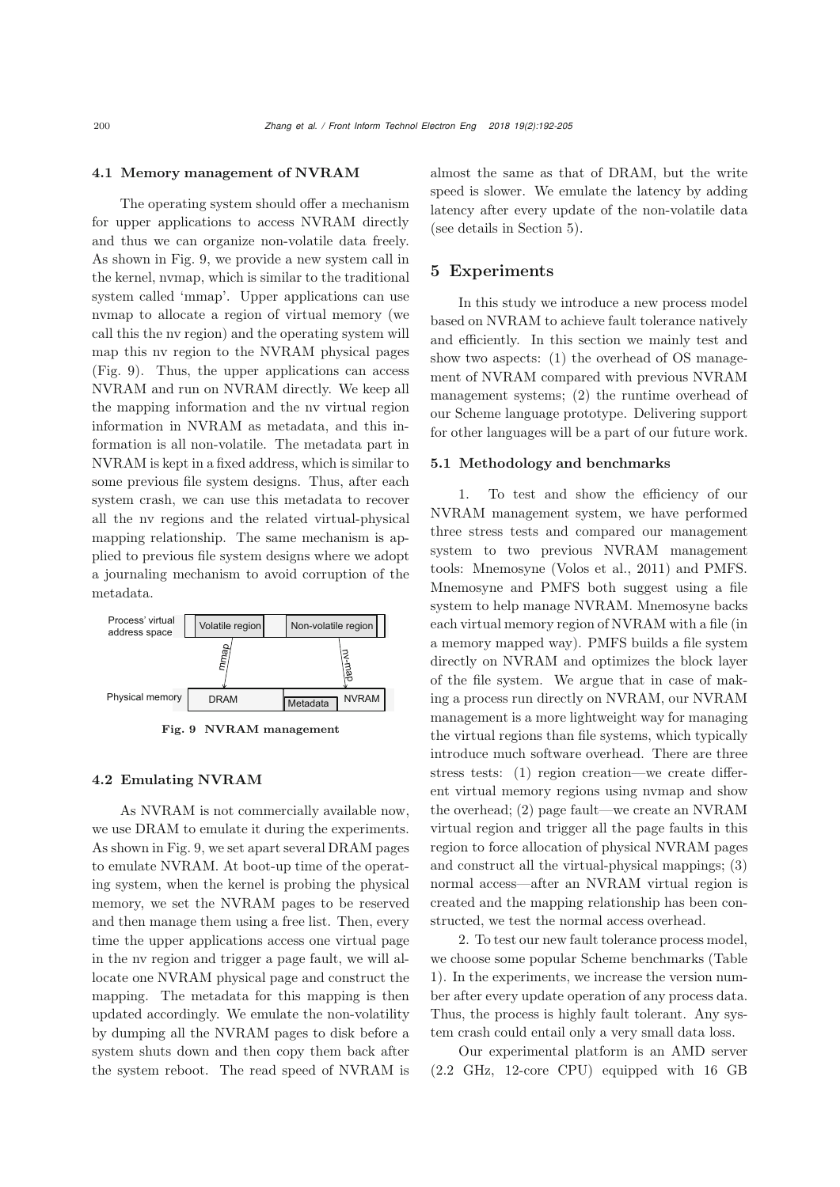#### 4.1 Memory management of NVRAM

The operating system should offer a mechanism for upper applications to access NVRAM directly and thus we can organize non-volatile data freely. As shown in Fig. [9,](#page-8-0) we provide a new system call in the kernel, nvmap, which is similar to the traditional system called 'mmap'. Upper applications can use nvmap to allocate a region of virtual memory (we call this the nv region) and the operating system will map this nv region to the NVRAM physical pages (Fig. [9\)](#page-8-0). Thus, the upper applications can access NVRAM and run on NVRAM directly. We keep all the mapping information and the nv virtual region information in NVRAM as metadata, and this information is all non-volatile. The metadata part in NVRAM is kept in a fixed address, which is similar to some previous file system designs. Thus, after each system crash, we can use this metadata to recover all the nv regions and the related virtual-physical mapping relationship. The same mechanism is applied to previous file system designs where we adopt a journaling mechanism to avoid corruption of the metadata.



<span id="page-8-0"></span>Fig. 9 NVRAM management

## 4.2 Emulating NVRAM

As NVRAM is not commercially available now, we use DRAM to emulate it during the experiments. As shown in Fig. [9,](#page-8-0) we set apart several DRAM pages to emulate NVRAM. At boot-up time of the operating system, when the kernel is probing the physical memory, we set the NVRAM pages to be reserved and then manage them using a free list. Then, every time the upper applications access one virtual page in the nv region and trigger a page fault, we will allocate one NVRAM physical page and construct the mapping. The metadata for this mapping is then updated accordingly. We emulate the non-volatility by dumping all the NVRAM pages to disk before a system shuts down and then copy them back after the system reboot. The read speed of NVRAM is almost the same as that of DRAM, but the write speed is slower. We emulate the latency by adding latency after every update of the non-volatile data (see details in Section 5).

## 5 Experiments

In this study we introduce a new process model based on NVRAM to achieve fault tolerance natively and efficiently. In this section we mainly test and show two aspects: (1) the overhead of OS management of NVRAM compared with previous NVRAM management systems; (2) the runtime overhead of our Scheme language prototype. Delivering support for other languages will be a part of our future work.

#### 5.1 Methodology and benchmarks

1. To test and show the efficiency of our NVRAM management system, we have performed three stress tests and compared our management system to two previous NVRAM management tools: Mnemosyne [\(Volos et al., 2011\)](#page-13-3) and PMFS. Mnemosyne and PMFS both suggest using a file system to help manage NVRAM. Mnemosyne backs each virtual memory region of NVRAM with a file (in a memory mapped way). PMFS builds a file system directly on NVRAM and optimizes the block layer of the file system. We argue that in case of making a process run directly on NVRAM, our NVRAM management is a more lightweight way for managing the virtual regions than file systems, which typically introduce much software overhead. There are three stress tests: (1) region creation—we create different virtual memory regions using nvmap and show the overhead; (2) page fault—we create an NVRAM virtual region and trigger all the page faults in this region to force allocation of physical NVRAM pages and construct all the virtual-physical mappings; (3) normal access—after an NVRAM virtual region is created and the mapping relationship has been constructed, we test the normal access overhead.

2. To test our new fault tolerance process model, we choose some popular Scheme benchmarks (Table [1\)](#page-9-0). In the experiments, we increase the version number after every update operation of any process data. Thus, the process is highly fault tolerant. Any system crash could entail only a very small data loss.

Our experimental platform is an AMD server (2.2 GHz, 12-core CPU) equipped with 16 GB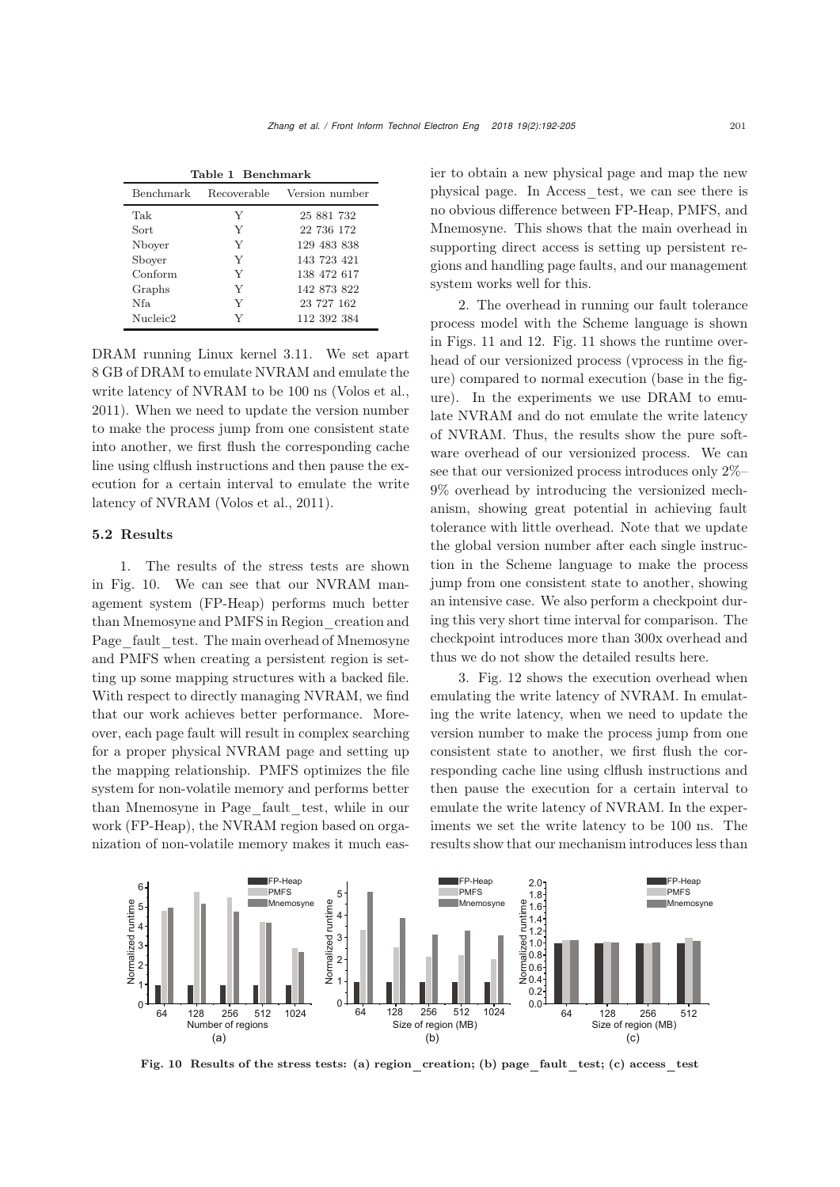| 'l'able 1 Benchmark  |   |                            |
|----------------------|---|----------------------------|
| Benchmark            |   | Recoverable Version number |
| Tak                  | Y | 25 881 732                 |
| Sort                 | Y | 22 736 172                 |
| Nboyer               | Y | 129 483 838                |
| Sbover               | Y | 143 723 421                |
| Conform              | Y | 138 472 617                |
| Graphs               | Y | 142 873 822                |
| Nfa.                 | Y | 23 727 162                 |
| Nucleic <sub>2</sub> | V | 112 392 384                |

<span id="page-9-0"></span>Table 1 Benchmark

DRAM running Linux kernel 3.11. We set apart 8 GB of DRAM to emulate NVRAM and emulate the write latency of NVRAM to be 100 ns [\(Volos et al.](#page-13-3), [2011](#page-13-3)). When we need to update the version number to make the process jump from one consistent state into another, we first flush the corresponding cache line using clflush instructions and then pause the execution for a certain interval to emulate the write latency of NVRAM [\(Volos et al.](#page-13-3), [2011](#page-13-3)).

## 5.2 Results

1. The results of the stress tests are shown in Fig. [10.](#page-9-1) We can see that our NVRAM management system (FP-Heap) performs much better than Mnemosyne and PMFS in Region\_creation and Page fault test. The main overhead of Mnemosyne and PMFS when creating a persistent region is setting up some mapping structures with a backed file. With respect to directly managing NVRAM, we find that our work achieves better performance. Moreover, each page fault will result in complex searching for a proper physical NVRAM page and setting up the mapping relationship. PMFS optimizes the file system for non-volatile memory and performs better than Mnemosyne in Page\_fault\_test, while in our work (FP-Heap), the NVRAM region based on organization of non-volatile memory makes it much easier to obtain a new physical page and map the new physical page. In Access\_test, we can see there is no obvious difference between FP-Heap, PMFS, and Mnemosyne. This shows that the main overhead in supporting direct access is setting up persistent regions and handling page faults, and our management system works well for this.

2. The overhead in running our fault tolerance process model with the Scheme language is shown in Figs. [11](#page-10-0) and [12.](#page-10-1) Fig. [11](#page-10-0) shows the runtime overhead of our versionized process (vprocess in the figure) compared to normal execution (base in the figure). In the experiments we use DRAM to emulate NVRAM and do not emulate the write latency of NVRAM. Thus, the results show the pure software overhead of our versionized process. We can see that our versionized process introduces only 2%– 9% overhead by introducing the versionized mechanism, showing great potential in achieving fault tolerance with little overhead. Note that we update the global version number after each single instruction in the Scheme language to make the process jump from one consistent state to another, showing an intensive case. We also perform a checkpoint during this very short time interval for comparison. The checkpoint introduces more than 300x overhead and thus we do not show the detailed results here.

3. Fig. [12](#page-10-1) shows the execution overhead when emulating the write latency of NVRAM. In emulating the write latency, when we need to update the version number to make the process jump from one consistent state to another, we first flush the corresponding cache line using clflush instructions and then pause the execution for a certain interval to emulate the write latency of NVRAM. In the experiments we set the write latency to be 100 ns. The results show that our mechanism introduces less than



<span id="page-9-1"></span>Fig. 10 Results of the stress tests: (a) region creation; (b) page fault test; (c) access test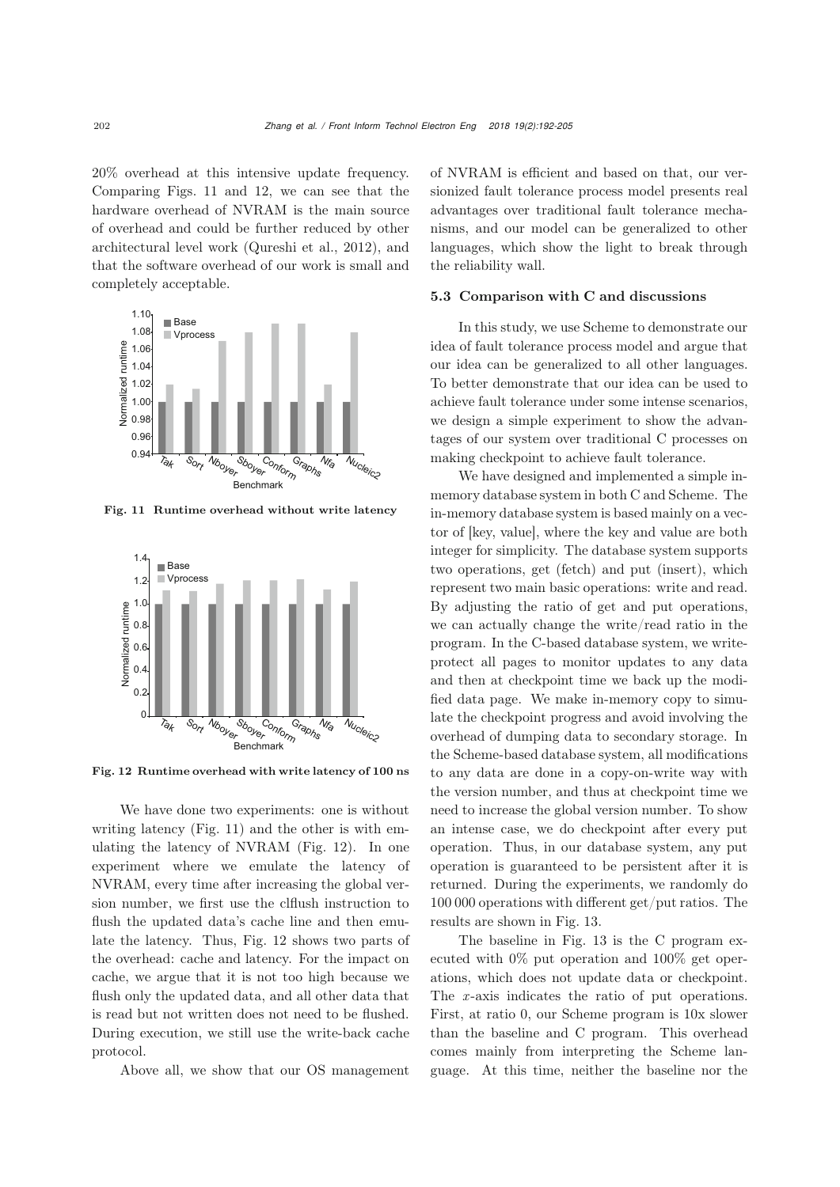20% overhead at this intensive update frequency. Comparing Figs. [11](#page-10-0) and [12,](#page-10-1) we can see that the hardware overhead of NVRAM is the main source of overhead and could be further reduced by other architectural level work [\(Qureshi et al., 2012\)](#page-13-11), and that the software overhead of our work is small and completely acceptable.



<span id="page-10-0"></span>Fig. 11 Runtime overhead without write latency



<span id="page-10-1"></span>Fig. 12 Runtime overhead with write latency of 100 ns

We have done two experiments: one is without writing latency (Fig. [11\)](#page-10-0) and the other is with emulating the latency of NVRAM (Fig. [12\)](#page-10-1). In one experiment where we emulate the latency of NVRAM, every time after increasing the global version number, we first use the clflush instruction to flush the updated data's cache line and then emulate the latency. Thus, Fig. [12](#page-10-1) shows two parts of the overhead: cache and latency. For the impact on cache, we argue that it is not too high because we flush only the updated data, and all other data that is read but not written does not need to be flushed. During execution, we still use the write-back cache protocol.

Above all, we show that our OS management

of NVRAM is efficient and based on that, our versionized fault tolerance process model presents real advantages over traditional fault tolerance mechanisms, and our model can be generalized to other languages, which show the light to break through the reliability wall.

#### 5.3 Comparison with C and discussions

In this study, we use Scheme to demonstrate our idea of fault tolerance process model and argue that our idea can be generalized to all other languages. To better demonstrate that our idea can be used to achieve fault tolerance under some intense scenarios, we design a simple experiment to show the advantages of our system over traditional C processes on making checkpoint to achieve fault tolerance.

We have designed and implemented a simple inmemory database system in both C and Scheme. The in-memory database system is based mainly on a vector of [key, value], where the key and value are both integer for simplicity. The database system supports two operations, get (fetch) and put (insert), which represent two main basic operations: write and read. By adjusting the ratio of get and put operations, we can actually change the write/read ratio in the program. In the C-based database system, we writeprotect all pages to monitor updates to any data and then at checkpoint time we back up the modified data page. We make in-memory copy to simulate the checkpoint progress and avoid involving the overhead of dumping data to secondary storage. In the Scheme-based database system, all modifications to any data are done in a copy-on-write way with the version number, and thus at checkpoint time we need to increase the global version number. To show an intense case, we do checkpoint after every put operation. Thus, in our database system, any put operation is guaranteed to be persistent after it is returned. During the experiments, we randomly do 100 000 operations with different get/put ratios. The results are shown in Fig. [13.](#page-11-0)

The baseline in Fig. [13](#page-11-0) is the C program executed with 0% put operation and 100% get operations, which does not update data or checkpoint. The *x*-axis indicates the ratio of put operations. First, at ratio 0, our Scheme program is 10x slower than the baseline and C program. This overhead comes mainly from interpreting the Scheme language. At this time, neither the baseline nor the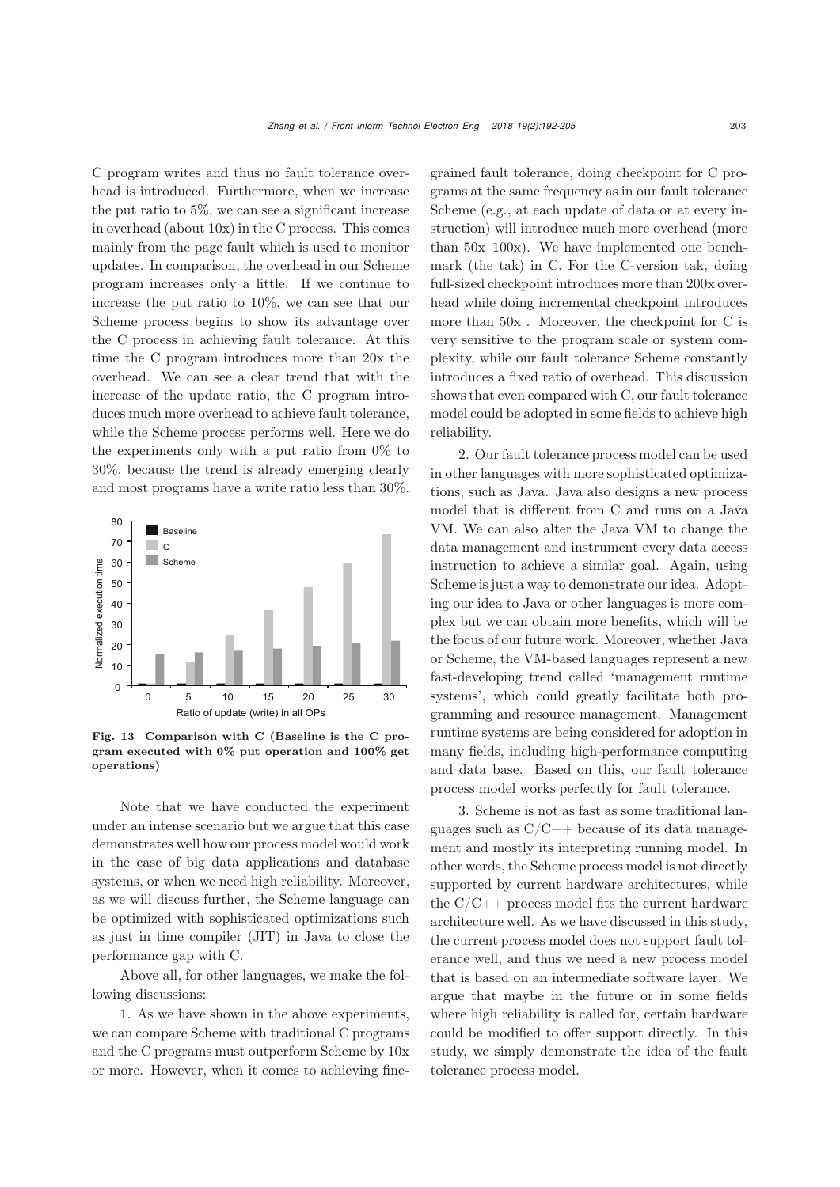C program writes and thus no fault tolerance overhead is introduced. Furthermore, when we increase the put ratio to 5%, we can see a significant increase in overhead (about 10x) in the C process. This comes mainly from the page fault which is used to monitor updates. In comparison, the overhead in our Scheme program increases only a little. If we continue to increase the put ratio to 10%, we can see that our Scheme process begins to show its advantage over the C process in achieving fault tolerance. At this time the C program introduces more than 20x the overhead. We can see a clear trend that with the increase of the update ratio, the C program introduces much more overhead to achieve fault tolerance, while the Scheme process performs well. Here we do the experiments only with a put ratio from 0% to 30%, because the trend is already emerging clearly and most programs have a write ratio less than 30%.



<span id="page-11-0"></span>Fig. 13 Comparison with C (Baseline is the C program executed with 0% put operation and 100% get operations)

Note that we have conducted the experiment under an intense scenario but we argue that this case demonstrates well how our process model would work in the case of big data applications and database systems, or when we need high reliability. Moreover, as we will discuss further, the Scheme language can be optimized with sophisticated optimizations such as just in time compiler (JIT) in Java to close the performance gap with C.

Above all, for other languages, we make the following discussions:

1. As we have shown in the above experiments, we can compare Scheme with traditional C programs and the C programs must outperform Scheme by 10x or more. However, when it comes to achieving finegrained fault tolerance, doing checkpoint for C programs at the same frequency as in our fault tolerance Scheme (e.g., at each update of data or at every instruction) will introduce much more overhead (more than 50x–100x). We have implemented one benchmark (the tak) in C. For the C-version tak, doing full-sized checkpoint introduces more than 200x overhead while doing incremental checkpoint introduces more than 50x . Moreover, the checkpoint for C is very sensitive to the program scale or system complexity, while our fault tolerance Scheme constantly introduces a fixed ratio of overhead. This discussion shows that even compared with C, our fault tolerance model could be adopted in some fields to achieve high reliability.

2. Our fault tolerance process model can be used in other languages with more sophisticated optimizations, such as Java. Java also designs a new process model that is different from C and runs on a Java VM. We can also alter the Java VM to change the data management and instrument every data access instruction to achieve a similar goal. Again, using Scheme is just a way to demonstrate our idea. Adopting our idea to Java or other languages is more complex but we can obtain more benefits, which will be the focus of our future work. Moreover, whether Java or Scheme, the VM-based languages represent a new fast-developing trend called 'management runtime systems', which could greatly facilitate both programming and resource management. Management runtime systems are being considered for adoption in many fields, including high-performance computing and data base. Based on this, our fault tolerance process model works perfectly for fault tolerance.

3. Scheme is not as fast as some traditional languages such as  $C/C++$  because of its data management and mostly its interpreting running model. In other words, the Scheme process model is not directly supported by current hardware architectures, while the  $C/C++$  process model fits the current hardware architecture well. As we have discussed in this study, the current process model does not support fault tolerance well, and thus we need a new process model that is based on an intermediate software layer. We argue that maybe in the future or in some fields where high reliability is called for, certain hardware could be modified to offer support directly. In this study, we simply demonstrate the idea of the fault tolerance process model.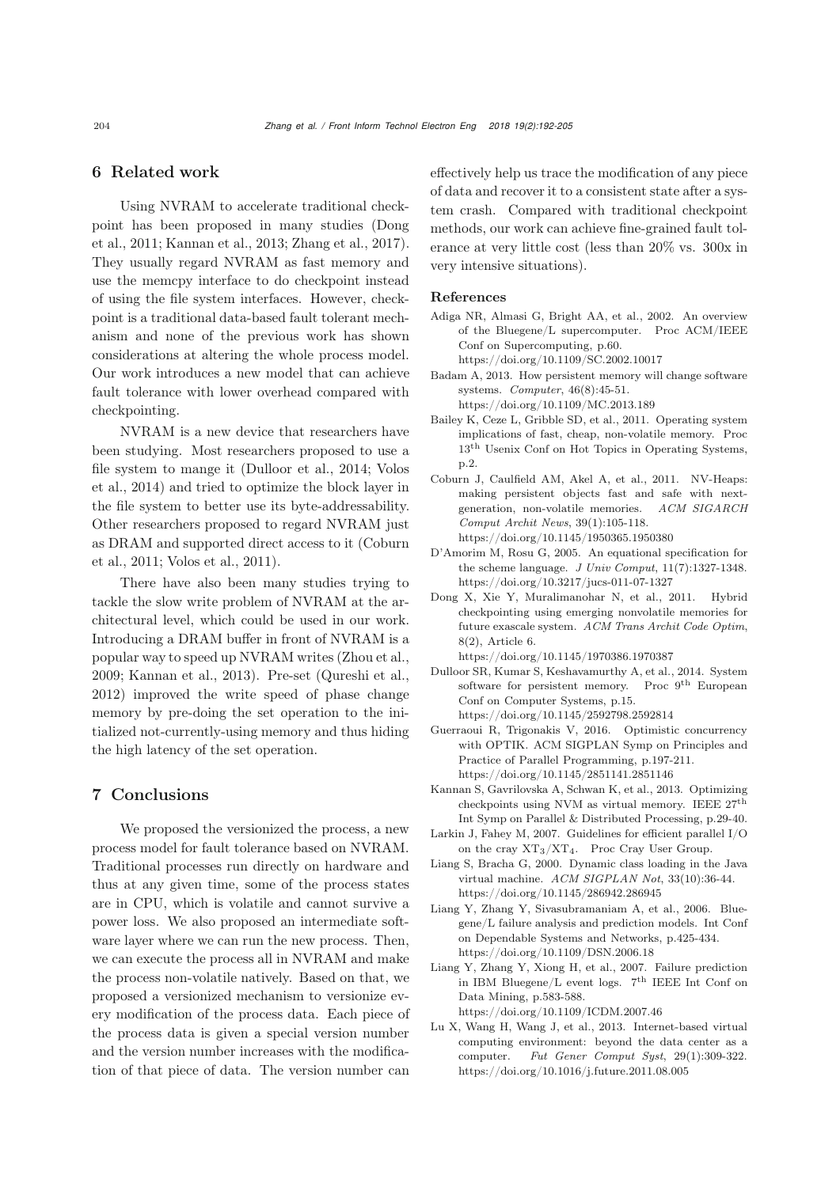## 6 Related work

Using NVRAM to accelerate traditional checkpoin[t](#page-12-6) [has](#page-12-6) [been](#page-12-6) [proposed](#page-12-6) [in](#page-12-6) [many](#page-12-6) [studies](#page-12-6) [\(](#page-12-6)Dong et al., [2011](#page-12-6); [Kannan et al.](#page-12-7), [2013;](#page-12-7) [Zhang et al.](#page-13-12), [2017\)](#page-13-12). They usually regard NVRAM as fast memory and use the memcpy interface to do checkpoint instead of using the file system interfaces. However, checkpoint is a traditional data-based fault tolerant mechanism and none of the previous work has shown considerations at altering the whole process model. Our work introduces a new model that can achieve fault tolerance with lower overhead compared with checkpointing.

NVRAM is a new device that researchers have been studying. Most researchers proposed to use a file s[ystem](#page-13-4) [to](#page-13-4) [mange](#page-13-4) [it](#page-13-4) [\(Dulloor et al.](#page-12-13)[,](#page-13-4) [2014;](#page-12-13) Volos et al., [2014](#page-13-4)) and tried to optimize the block layer in the file system to better use its byte-addressability. Other researchers proposed to regard NVRAM just as D[RAM](#page-12-10) [and](#page-12-10) [supported](#page-12-10) [direct](#page-12-10) [access](#page-12-10) [to](#page-12-10) [it](#page-12-10) [\(](#page-12-10)Coburn et al., [2011;](#page-12-10) [Volos et al., 2011](#page-13-3)).

There have also been many studies trying to tackle the slow write problem of NVRAM at the architectural level, which could be used in our work. Introducing a DRAM buffer in front of NVRAM is a popular way to speed up NVRAM writes [\(Zhou et al.](#page-13-13), [2009](#page-13-13); [Kannan et al.](#page-12-7), [2013\)](#page-12-7). Pre-set [\(Qureshi et al.](#page-13-11), [2012](#page-13-11)) improved the write speed of phase change memory by pre-doing the set operation to the initialized not-currently-using memory and thus hiding the high latency of the set operation.

# 7 Conclusions

We proposed the versionized the process, a new process model for fault tolerance based on NVRAM. Traditional processes run directly on hardware and thus at any given time, some of the process states are in CPU, which is volatile and cannot survive a power loss. We also proposed an intermediate software layer where we can run the new process. Then, we can execute the process all in NVRAM and make the process non-volatile natively. Based on that, we proposed a versionized mechanism to versionize every modification of the process data. Each piece of the process data is given a special version number and the version number increases with the modification of that piece of data. The version number can effectively help us trace the modification of any piece of data and recover it to a consistent state after a system crash. Compared with traditional checkpoint methods, our work can achieve fine-grained fault tolerance at very little cost (less than 20% vs. 300x in very intensive situations).

## References

- <span id="page-12-0"></span>Adiga NR, Almasi G, Bright AA, et al., 2002. An overview of the Bluegene/L supercomputer. Proc ACM/IEEE Conf on Supercomputing, p.60. https://doi.org/10.1109/SC.2002.10017
- <span id="page-12-5"></span>Badam A, 2013. How persistent memory will change software systems. *Computer*, 46(8):45-51. https://doi.org/10.1109/MC.2013.189
- <span id="page-12-9"></span>Bailey K, Ceze L, Gribble SD, et al., 2011. Operating system implications of fast, cheap, non-volatile memory. Proc  $13^{\rm th}$ Usenix Conf on Hot Topics in Operating Systems, p.2.
- <span id="page-12-10"></span>Coburn J, Caulfield AM, Akel A, et al., 2011. NV-Heaps: making persistent objects fast and safe with nextgeneration, non-volatile memories. *ACM SIGARCH Comput Archit News*, 39(1):105-118. https://doi.org/10.1145/1950365.1950380
- <span id="page-12-8"></span>D'Amorim M, Rosu G, 2005. An equational specification for the scheme language. *J Univ Comput*, 11(7):1327-1348. https://doi.org/10.3217/jucs-011-07-1327
- <span id="page-12-6"></span>Dong X, Xie Y, Muralimanohar N, et al., 2011. Hybrid checkpointing using emerging nonvolatile memories for future exascale system. *ACM Trans Archit Code Optim*, 8(2), Article 6. https://doi.org/10.1145/1970386.1970387
- <span id="page-12-13"></span>Dulloor SR, Kumar S, Keshavamurthy A, et al., 2014. System software for persistent memory. Proc $9^{\rm th}$ European Conf on Computer Systems, p.15. https://doi.org/10.1145/2592798.2592814
- <span id="page-12-12"></span>Guerraoui R, Trigonakis V, 2016. Optimistic concurrency with OPTIK. ACM SIGPLAN Symp on Principles and Practice of Parallel Programming, p.197-211. https://doi.org/10.1145/2851141.2851146
- <span id="page-12-7"></span>Kannan S, Gavrilovska A, Schwan K, et al., 2013. Optimizing checkpoints using NVM as virtual memory. IEEE  $27^{\rm th}$ Int Symp on Parallel & Distributed Processing, p.29-40.
- <span id="page-12-3"></span>Larkin J, Fahey M, 2007. Guidelines for efficient parallel I/O on the cray  $XT_3/XT_4$ . Proc Cray User Group.
- <span id="page-12-11"></span>Liang S, Bracha G, 2000. Dynamic class loading in the Java virtual machine. *ACM SIGPLAN Not*, 33(10):36-44. https://doi.org/10.1145/286942.286945
- <span id="page-12-1"></span>Liang Y, Zhang Y, Sivasubramaniam A, et al., 2006. Bluegene/L failure analysis and prediction models. Int Conf on Dependable Systems and Networks, p.425-434. https://doi.org/10.1109/DSN.2006.18
- <span id="page-12-2"></span>Liang Y, Zhang Y, Xiong H, et al., 2007. Failure prediction in IBM Bluegene/L event logs. 7th IEEE Int Conf on Data Mining, p.583-588. https://doi.org/10.1109/ICDM.2007.46
- <span id="page-12-4"></span>Lu X, Wang H, Wang J, et al., 2013. Internet-based virtual computing environment: beyond the data center as a computer. *Fut Gener Comput Syst*, 29(1):309-322. https://doi.org/10.1016/j.future.2011.08.005